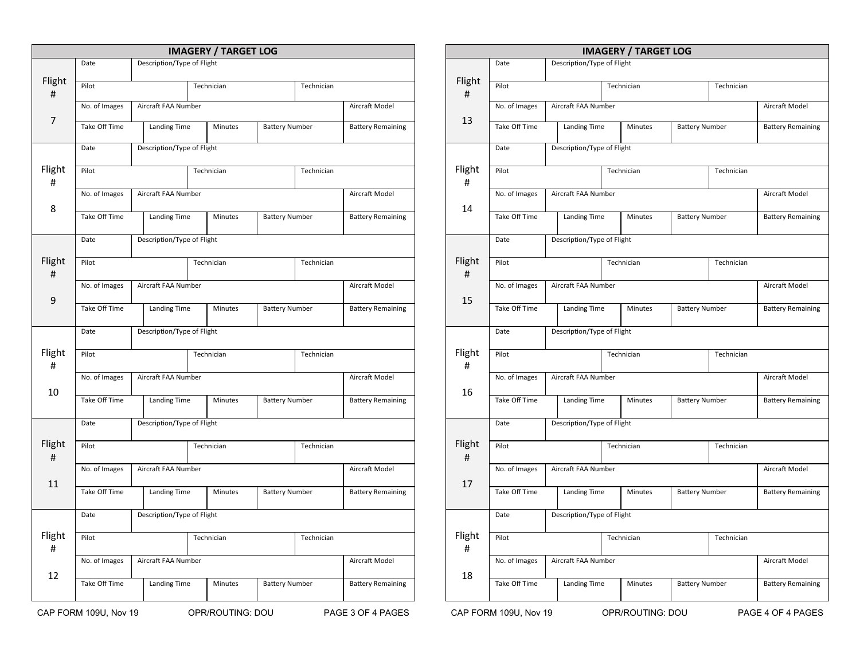|             |                       |                     |                            |                     | <b>IMAGERY / TARGET LOG</b>      |                       |                          |                          |
|-------------|-----------------------|---------------------|----------------------------|---------------------|----------------------------------|-----------------------|--------------------------|--------------------------|
|             | Date                  |                     | Description/Type of Flight |                     |                                  |                       |                          |                          |
| Flight<br># | Pilot                 |                     |                            |                     | Technician                       |                       | Technician               |                          |
|             | No. of Images         | Aircraft FAA Number |                            |                     |                                  |                       |                          | Aircraft Model           |
| 7           | Take Off Time         |                     |                            | <b>Landing Time</b> |                                  | <b>Battery Number</b> |                          | <b>Battery Remaining</b> |
|             | Date                  |                     | Description/Type of Flight |                     |                                  |                       |                          |                          |
| Flight<br># | Pilot                 |                     | Technician                 |                     |                                  | Technician            |                          |                          |
|             | No. of Images         |                     | Aircraft FAA Number        |                     |                                  |                       |                          | Aircraft Model           |
| 8           | Take Off Time         |                     | Landing Time               |                     | <b>Battery Number</b><br>Minutes |                       |                          | <b>Battery Remaining</b> |
|             | Date                  |                     | Description/Type of Flight |                     |                                  |                       |                          |                          |
| Flight<br># | Pilot                 |                     |                            |                     | Technician                       |                       | Technician               |                          |
| 9           | No. of Images         |                     | Aircraft FAA Number        |                     |                                  |                       |                          | Aircraft Model           |
|             | Take Off Time         |                     | Landing Time               |                     | Minutes                          | <b>Battery Number</b> |                          | <b>Battery Remaining</b> |
|             | Date                  |                     | Description/Type of Flight |                     |                                  |                       |                          |                          |
| Flight<br># | Pilot                 |                     |                            |                     | Technician                       |                       | Technician               |                          |
|             | No. of Images         | Aircraft FAA Number |                            |                     |                                  |                       |                          | Aircraft Model           |
| 10          | Take Off Time         |                     | Landing Time               |                     | <b>Battery Number</b><br>Minutes |                       |                          | <b>Battery Remaining</b> |
|             | Date                  |                     | Description/Type of Flight |                     |                                  |                       |                          |                          |
| Flight<br># | Pilot                 |                     |                            |                     | Technician                       |                       | Technician               |                          |
|             | No. of Images         |                     | Aircraft FAA Number        |                     |                                  |                       |                          | Aircraft Model           |
| 11          | Take Off Time         |                     | Landing Time               |                     | Minutes                          | <b>Battery Number</b> |                          | <b>Battery Remaining</b> |
|             | Date                  |                     | Description/Type of Flight |                     |                                  |                       |                          |                          |
| Flight<br># | Pilot                 |                     |                            | Technician          |                                  |                       | Technician               |                          |
|             | No. of Images         | Aircraft FAA Number |                            |                     |                                  |                       |                          | Aircraft Model           |
| 12          | Take Off Time         |                     | Landing Time               |                     | <b>Battery Number</b><br>Minutes |                       | <b>Battery Remaining</b> |                          |
|             | CAP FORM 109U, Nov 19 |                     |                            |                     | OPR/ROUTING: DOU                 |                       |                          | PAGE 3 OF 4 PAGES        |

|             |               |                            |                            |            | <b>IMAGERY / TARGET LOG</b> |                       |                |                          |
|-------------|---------------|----------------------------|----------------------------|------------|-----------------------------|-----------------------|----------------|--------------------------|
|             | Date          |                            | Description/Type of Flight |            |                             |                       |                |                          |
| Flight<br># | Pilot         | Technician<br>Technician   |                            |            |                             |                       |                |                          |
|             | No. of Images |                            | Aircraft FAA Number        |            |                             |                       |                | Aircraft Model           |
| 13          | Take Off Time |                            | Landing Time               |            | Minutes                     | <b>Battery Number</b> |                | <b>Battery Remaining</b> |
|             | Date          |                            | Description/Type of Flight |            |                             |                       |                |                          |
| Flight<br># | Pilot         |                            |                            |            | Technician                  |                       | Technician     |                          |
|             | No. of Images | Aircraft FAA Number        |                            |            |                             |                       | Aircraft Model |                          |
| 14          | Take Off Time |                            | Landing Time               |            | Minutes                     | <b>Battery Number</b> |                | <b>Battery Remaining</b> |
|             | Date          |                            | Description/Type of Flight |            |                             |                       |                |                          |
| Flight<br># | Pilot         |                            |                            |            | Technician                  |                       | Technician     |                          |
| 15          | No. of Images |                            | Aircraft FAA Number        |            |                             |                       |                | Aircraft Model           |
|             | Take Off Time |                            | Landing Time               |            | Minutes                     | <b>Battery Number</b> |                | <b>Battery Remaining</b> |
|             | Date          |                            | Description/Type of Flight |            |                             |                       |                |                          |
| Flight<br># | Pilot         |                            |                            | Technician |                             |                       | Technician     |                          |
| 16          | No. of Images | Aircraft FAA Number        |                            |            |                             |                       | Aircraft Model |                          |
|             | Take Off Time | Landing Time               |                            |            | Minutes                     | <b>Battery Number</b> |                | <b>Battery Remaining</b> |
|             | Date          |                            | Description/Type of Flight |            |                             |                       |                |                          |
| Flight<br># | Pilot         |                            |                            | Technician |                             |                       | Technician     |                          |
|             | No. of Images |                            | Aircraft FAA Number        |            |                             |                       | Aircraft Model |                          |
| 17          | Take Off Time |                            | Landing Time               |            | Minutes                     | <b>Battery Number</b> |                | <b>Battery Remaining</b> |
|             | Date          | Description/Type of Flight |                            |            |                             |                       |                |                          |
| Flight<br># | Pilot         |                            | Technician                 |            |                             | Technician            |                |                          |
|             | No. of Images |                            | Aircraft FAA Number        |            |                             |                       |                | Aircraft Model           |
| 18          |               |                            |                            |            |                             |                       |                |                          |